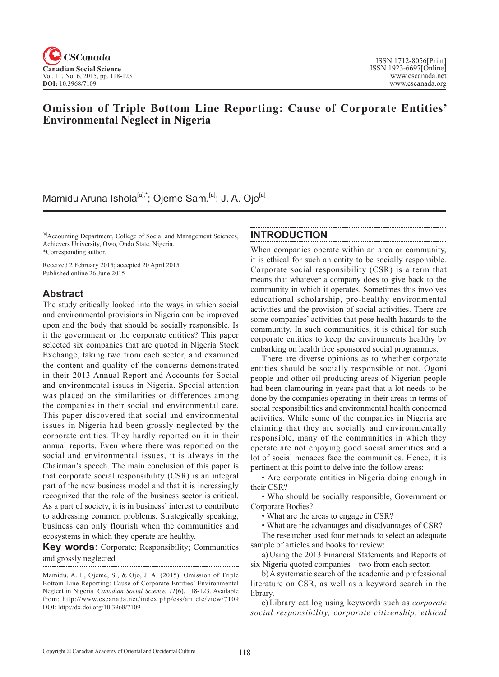

## **Omission of Triple Bottom Line Reporting: Cause of Corporate Entities' Environmental Neglect in Nigeria**

# Mamidu Aruna Ishola<sup>[a],\*</sup>; Ojeme Sam.<sup>[a]</sup>; J. A. Ojo<sup>[a]</sup>

[a]Accounting Department, College of Social and Management Sciences, Achievers University, Owo, Ondo State, Nigeria. \*Corresponding author.

Received 2 February 2015; accepted 20 April 2015 Published online 26 June 2015

### **Abstract**

The study critically looked into the ways in which social and environmental provisions in Nigeria can be improved upon and the body that should be socially responsible. Is it the government or the corporate entities? This paper selected six companies that are quoted in Nigeria Stock Exchange, taking two from each sector, and examined the content and quality of the concerns demonstrated in their 2013 Annual Report and Accounts for Social and environmental issues in Nigeria. Special attention was placed on the similarities or differences among the companies in their social and environmental care. This paper discovered that social and environmental issues in Nigeria had been grossly neglected by the corporate entities. They hardly reported on it in their annual reports. Even where there was reported on the social and environmental issues, it is always in the Chairman's speech. The main conclusion of this paper is that corporate social responsibility (CSR) is an integral part of the new business model and that it is increasingly recognized that the role of the business sector is critical. As a part of society, it is in business' interest to contribute to addressing common problems. Strategically speaking, business can only flourish when the communities and ecosystems in which they operate are healthy.

**Key words:** Corporate; Responsibility; Communities and grossly neglected

Mamidu, A. I., Ojeme, S., & Ojo, J. A. (2015). Omission of Triple Bottom Line Reporting: Cause of Corporate Entities' Environmental Neglect in Nigeria. *Canadian Social Science*, <sup>11</sup>(6), 118-123. Available from: http://www.cscanada.net/index.php/css/article/view/7109 DOI: http://dx.doi.org/10.3968/7109

### **INTRODUCTION**

When companies operate within an area or community, it is ethical for such an entity to be socially responsible. Corporate social responsibility (CSR) is a term that means that whatever a company does to give back to the community in which it operates. Sometimes this involves educational scholarship, pro-healthy environmental activities and the provision of social activities. There are some companies' activities that pose health hazards to the community. In such communities, it is ethical for such corporate entities to keep the environments healthy by embarking on health free sponsored social programmes.

There are diverse opinions as to whether corporate entities should be socially responsible or not. Ogoni people and other oil producing areas of Nigerian people had been clamouring in years past that a lot needs to be done by the companies operating in their areas in terms of social responsibilities and environmental health concerned activities. While some of the companies in Nigeria are claiming that they are socially and environmentally responsible, many of the communities in which they operate are not enjoying good social amenities and a lot of social menaces face the communities. Hence, it is pertinent at this point to delve into the follow areas:

• Are corporate entities in Nigeria doing enough in their CSR?

• Who should be socially responsible, Government or Corporate Bodies?

• What are the areas to engage in CSR?

• What are the advantages and disadvantages of CSR?

The researcher used four methods to select an adequate sample of articles and books for review:

a) Using the 2013 Financial Statements and Reports of six Nigeria quoted companies – two from each sector.

b)A systematic search of the academic and professional literature on CSR, as well as a keyword search in the library.

c) Library cat log using keywords such as *corporate social responsibility, corporate citizenship, ethical*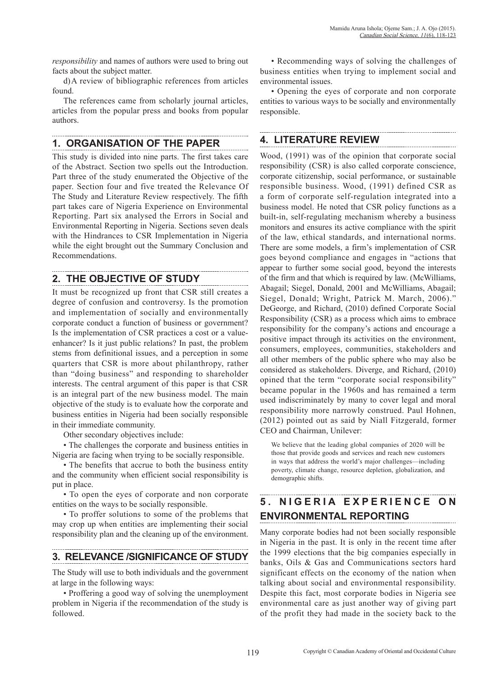*responsibility* and names of authors were used to bring out facts about the subject matter.

d)A review of bibliographic references from articles found.

The references came from scholarly journal articles, articles from the popular press and books from popular authors.

## **1. ORGANISATION OF THE PAPER**

This study is divided into nine parts. The first takes care of the Abstract. Section two spells out the Introduction. Part three of the study enumerated the Objective of the paper. Section four and five treated the Relevance Of The Study and Literature Review respectively. The fifth part takes care of Nigeria Experience on Environmental Reporting. Part six analysed the Errors in Social and Environmental Reporting in Nigeria. Sections seven deals with the Hindrances to CSR Implementation in Nigeria while the eight brought out the Summary Conclusion and Recommendations.

## **2. THE OBJECTIVE OF STUDY**

It must be recognized up front that CSR still creates a degree of confusion and controversy. Is the promotion and implementation of socially and environmentally corporate conduct a function of business or government? Is the implementation of CSR practices a cost or a valueenhancer? Is it just public relations? In past, the problem stems from definitional issues, and a perception in some quarters that CSR is more about philanthropy, rather than "doing business" and responding to shareholder interests. The central argument of this paper is that CSR is an integral part of the new business model. The main objective of the study is to evaluate how the corporate and business entities in Nigeria had been socially responsible in their immediate community.

Other secondary objectives include:

• The challenges the corporate and business entities in Nigeria are facing when trying to be socially responsible.

• The benefits that accrue to both the business entity and the community when efficient social responsibility is put in place.

• To open the eyes of corporate and non corporate entities on the ways to be socially responsible.

• To proffer solutions to some of the problems that may crop up when entities are implementing their social responsibility plan and the cleaning up of the environment.

## **3. RELEVANCE /SIGNIFICANCE OF STUDY**

The Study will use to both individuals and the government at large in the following ways:

• Proffering a good way of solving the unemployment problem in Nigeria if the recommendation of the study is followed.

• Recommending ways of solving the challenges of business entities when trying to implement social and environmental issues.

• Opening the eyes of corporate and non corporate entities to various ways to be socially and environmentally responsible.

## **4. LITERATURE REVIEW**

Wood, (1991) was of the opinion that corporate social responsibility (CSR) is also called corporate conscience, corporate citizenship, social performance, or sustainable responsible business. Wood, (1991) defined CSR as a form of corporate self-regulation integrated into a business model. He noted that CSR policy functions as a built-in, self-regulating mechanism whereby a business monitors and ensures its active compliance with the spirit of the law, ethical standards, and international norms. There are some models, a firm's implementation of CSR goes beyond compliance and engages in "actions that appear to further some social good, beyond the interests of the firm and that which is required by law. (McWilliams, Abagail; Siegel, Donald, 2001 and McWilliams, Abagail; Siegel, Donald; Wright, Patrick M. March, 2006)." DeGeorge, and Richard, (2010) defined Corporate Social Responsibility (CSR) as a process which aims to embrace responsibility for the company's actions and encourage a positive impact through its activities on the environment, consumers, employees, communities, stakeholders and all other members of the public sphere who may also be considered as stakeholders. Diverge, and Richard, (2010) opined that the term "corporate social responsibility" became popular in the 1960s and has remained a term used indiscriminately by many to cover legal and moral responsibility more narrowly construed. Paul Hohnen, (2012) pointed out as said by Niall Fitzgerald, former CEO and Chairman, Unilever:

We believe that the leading global companies of 2020 will be those that provide goods and services and reach new customers in ways that address the world's major challenges—including poverty, climate change, resource depletion, globalization, and demographic shifts.

# **5 . N I G E R I A E X P E R I E N C E O N ENVIRONMENTAL REPORTING**

Many corporate bodies had not been socially responsible in Nigeria in the past. It is only in the recent time after the 1999 elections that the big companies especially in banks, Oils & Gas and Communications sectors hard significant effects on the economy of the nation when talking about social and environmental responsibility. Despite this fact, most corporate bodies in Nigeria see environmental care as just another way of giving part of the profit they had made in the society back to the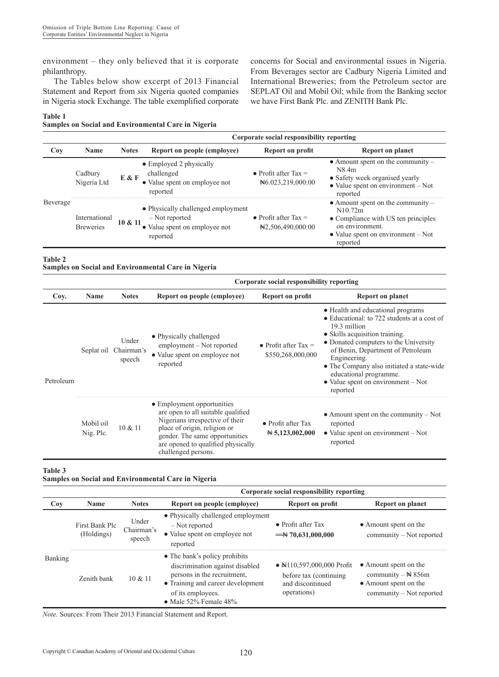environment – they only believed that it is corporate philanthropy.

The Tables below show excerpt of 2013 Financial Statement and Report from six Nigeria quoted companies in Nigeria stock Exchange. The table exemplified corporate

**Table 1**

**Samples on Social and Environmental Care in Nigeria**

concerns for Social and environmental issues in Nigeria. From Beverages sector are Cadbury Nigeria Limited and International Breweries; from the Petroleum sector are SEPLAT Oil and Mobil Oil; while from the Banking sector we have First Bank Plc. and ZENITH Bank Plc.

|          |                                   |              | Corporate social responsibility reporting                                                         |                                               |                                                                                                                                                                    |  |
|----------|-----------------------------------|--------------|---------------------------------------------------------------------------------------------------|-----------------------------------------------|--------------------------------------------------------------------------------------------------------------------------------------------------------------------|--|
| Coy      | <b>Name</b>                       | <b>Notes</b> | Report on people (employee)                                                                       | Report on profit                              | <b>Report on planet</b>                                                                                                                                            |  |
| Beverage | Cadbury<br>Nigeria Ltd            | E & F        | • Employed 2 physically<br>challenged<br>• Value spent on employee not<br>reported                | • Profit after Tax $=$<br>Net6.023,219,000:00 | $\bullet$ Amount spent on the community $-$<br>N8.4m<br>• Safety week organised yearly<br>$\bullet$ Value spent on environment – Not<br>reported                   |  |
|          | International<br><b>Breweries</b> | 10 & 11      | • Physically challenged employment<br>- Not reported<br>• Value spent on employee not<br>reported | • Profit after Tax $=$<br>N2,506,490,000:00   | $\bullet$ Amount spent on the community -<br>N10.72m<br>• Compliance with US ten principles<br>on environment.<br>• Value spent on environment $-$ Not<br>reported |  |

**Table 2**

**Samples on Social and Environmental Care in Nigeria**

|           |                        |                               | Corporate social responsibility reporting                                                                                                                                                                                          |                                                       |                                                                                                                                                                                                                                                                                                                                                                             |  |
|-----------|------------------------|-------------------------------|------------------------------------------------------------------------------------------------------------------------------------------------------------------------------------------------------------------------------------|-------------------------------------------------------|-----------------------------------------------------------------------------------------------------------------------------------------------------------------------------------------------------------------------------------------------------------------------------------------------------------------------------------------------------------------------------|--|
| Coy.      | <b>Name</b>            | <b>Notes</b>                  | Report on people (employee)                                                                                                                                                                                                        | Report on profit                                      | <b>Report on planet</b>                                                                                                                                                                                                                                                                                                                                                     |  |
| Petroleum | Seplat oil             | Under<br>Chairman's<br>speech | • Physically challenged<br>employment – Not reported<br>• Value spent on employee not<br>reported                                                                                                                                  | • Profit after Tax $=$<br>\$550,268,000,000           | • Health and educational programs<br>$\bullet$ Educational: to 722 students at a cost of<br>19.3 million<br>• Skills acquisition training.<br>• Donated computers to the University<br>of Benin, Department of Petroleum<br>Engineering.<br>• The Company also initiated a state-wide<br>educational programme.<br>$\bullet$ Value spent on environment $-$ Not<br>reported |  |
|           | Mobil oil<br>Nig. Plc. | $10 \& 11$                    | • Employment opportunities<br>are open to all suitable qualified<br>Nigerians irrespective of their<br>place of origin, religion or<br>gender. The same opportunities<br>are opened to qualified physically<br>challenged persons. | $\bullet$ Profit after Tax<br>$\approx 5,123,002,000$ | $\bullet$ Amount spent on the community – Not<br>reported<br>$\bullet$ Value spent on environment $-$ Not<br>reported                                                                                                                                                                                                                                                       |  |

#### **Table 3**

**Samples on Social and Environmental Care in Nigeria** 

|                |                              |                               | Corporate social responsibility reporting                                                                                                                                                  |                                                                                                   |                                                                                                            |  |
|----------------|------------------------------|-------------------------------|--------------------------------------------------------------------------------------------------------------------------------------------------------------------------------------------|---------------------------------------------------------------------------------------------------|------------------------------------------------------------------------------------------------------------|--|
| Coy            | <b>Name</b>                  | <b>Notes</b>                  | Report on people (employee)<br>Report on profit                                                                                                                                            |                                                                                                   | Report on planet                                                                                           |  |
| <b>Banking</b> | First Bank Plc<br>(Holdings) | Under<br>Chairman's<br>speech | • Physically challenged employment<br>- Not reported<br>• Value spent on employee not<br>reported                                                                                          | $\bullet$ Profit after Tax<br>$\rightarrow$ 70,631,000,000                                        | • Amount spent on the<br>community – Not reported                                                          |  |
|                | Zenith bank                  | 10 & 11                       | • The bank's policy prohibits<br>discrimination against disabled<br>persons in the recruitment.<br>• Training and career development<br>of its employees.<br>$\bullet$ Male 52% Female 48% | $\bullet$ Ne 110,597,000,000 Profit<br>before tax (continuing)<br>and discontinued<br>operations) | • Amount spent on the<br>community $-\cancel{1}$ 856m<br>• Amount spent on the<br>community – Not reported |  |

*Note.* Sources: From Their 2013 Financial Statement and Report.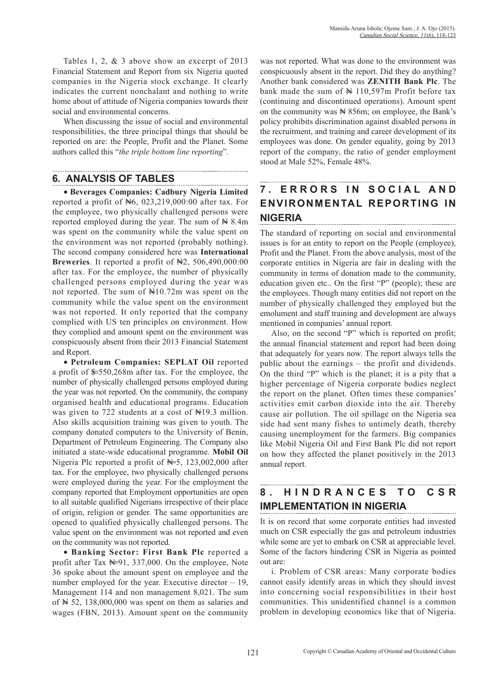Tables 1, 2, & 3 above show an excerpt of 2013 Financial Statement and Report from six Nigeria quoted companies in the Nigeria stock exchange. It clearly indicates the current nonchalant and nothing to write home about of attitude of Nigeria companies towards their social and environmental concerns.

When discussing the issue of social and environmental responsibilities, the three principal things that should be reported on are: the People, Profit and the Planet. Some authors called this "*the triple bottom line reporting*"*.*

## **6. ANALYSIS OF TABLES**

● **Beverages Companies: Cadbury Nigeria Limited** reported a profit of N6, 023,219,000:00 after tax. For the employee, two physically challenged persons were reported employed during the year. The sum of  $\mathbb{N} 8.4$ m was spent on the community while the value spent on the environment was not reported (probably nothing). The second company considered here was **International**  Breweries. It reported a profit of  $\mathbb{H}2$ , 506,490,000:00 after tax. For the employee, the number of physically challenged persons employed during the year was not reported. The sum of  $\text{N}10.72\text{m}$  was spent on the community while the value spent on the environment was not reported. It only reported that the company complied with US ten principles on environment. How they complied and amount spent on the environment was conspicuously absent from their 2013 Financial Statement and Report.

● **Petroleum Companies: SEPLAT Oil** reported a profit of  $\text{$6,268m$}$  after tax. For the employee, the number of physically challenged persons employed during the year was not reported. On the community, the company organised health and educational programs. Education was given to 722 students at a cost of Negal million. Also skills acquisition training was given to youth. The company donated computers to the University of Benin, Department of Petroleum Engineering. The Company also initiated a state-wide educational programme. **Mobil Oil** Nigeria Plc reported a profit of  $N=5$ , 123,002,000 after tax. For the employee, two physically challenged persons were employed during the year. For the employment the company reported that Employment opportunities are open to all suitable qualified Nigerians irrespective of their place of origin, religion or gender. The same opportunities are opened to qualified physically challenged persons. The value spent on the environment was not reported and even on the community was not reported.

● **Banking Sector: First Bank Plc** reported a profit after Tax  $N=91, 337,000$ . On the employee, Note 36 spoke about the amount spent on employee and the number employed for the year. Executive director – 19, Management 114 and non management 8,021. The sum of  $\cancel{\text{N}}$  52, 138,000,000 was spent on them as salaries and wages (FBN, 2013). Amount spent on the community

was not reported. What was done to the environment was conspicuously absent in the report. Did they do anything? Another bank considered was **ZENITH Bank Plc**. The bank made the sum of  $\mathbb{N}$  110,597m Profit before tax (continuing and discontinued operations). Amount spent on the community was  $\mathbb{N}$  856m; on employee, the Bank's policy prohibits discrimination against disabled persons in the recruitment, and training and career development of its employees was done. On gender equality, going by 2013 report of the company, the ratio of gender employment stood at Male 52%, Female 48%.

### **7. ERRORS IN SOCIAL AND ENVIRONMENTAL REPORTING IN NIGERIA**

The standard of reporting on social and environmental issues is for an entity to report on the People (employee), Profit and the Planet. From the above analysis, most of the corporate entities in Nigeria are fair in dealing with the community in terms of donation made to the community, education given etc.. On the first "P" (people); these are the employees. Though many entities did not report on the number of physically challenged they employed but the emolument and staff training and development are always mentioned in companies' annual report.

Also, on the second "P" which is reported on profit; the annual financial statement and report had been doing that adequately for years now. The report always tells the public about the earnings – the profit and dividends. On the third "P" which is the planet; it is a pity that a higher percentage of Nigeria corporate bodies neglect the report on the planet. Often times these companies' activities emit carbon dioxide into the air. Thereby cause air pollution. The oil spillage on the Nigeria sea side had sent many fishes to untimely death, thereby causing unemployment for the farmers. Big companies like Mobil Nigeria Oil and First Bank Plc did not report on how they affected the planet positively in the 2013 annual report.

# **8 . H I N D R A N C E S T O C S R IMPLEMENTATION IN NIGERIA**

It is on record that some corporate entities had invested much on CSR especially the gas and petroleum industries while some are yet to embark on CSR at appreciable level. Some of the factors hindering CSR in Nigeria as pointed out are:

i. Problem of CSR areas: Many corporate bodies cannot easily identify areas in which they should invest into concerning social responsibilities in their host communities. This unidentified channel is a common problem in developing economics like that of Nigeria.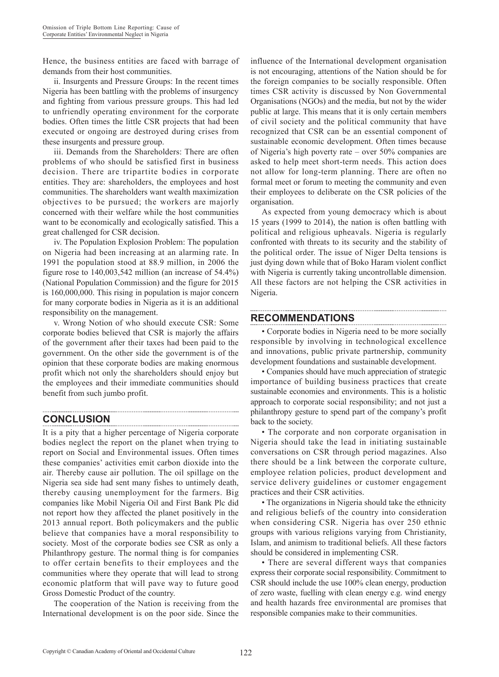Hence, the business entities are faced with barrage of demands from their host communities.

ii. Insurgents and Pressure Groups: In the recent times Nigeria has been battling with the problems of insurgency and fighting from various pressure groups. This had led to unfriendly operating environment for the corporate bodies. Often times the little CSR projects that had been executed or ongoing are destroyed during crises from these insurgents and pressure group.

iii. Demands from the Shareholders: There are often problems of who should be satisfied first in business decision. There are tripartite bodies in corporate entities. They are: shareholders, the employees and host communities. The shareholders want wealth maximization objectives to be pursued; the workers are majorly concerned with their welfare while the host communities want to be economically and ecologically satisfied. This a great challenged for CSR decision.

iv. The Population Explosion Problem: The population on Nigeria had been increasing at an alarming rate. In 1991 the population stood at 88.9 million, in 2006 the figure rose to 140,003,542 million (an increase of 54.4%) (National Population Commission) and the figure for 2015 is 160,000,000. This rising in population is major concern for many corporate bodies in Nigeria as it is an additional responsibility on the management.

v. Wrong Notion of who should execute CSR: Some corporate bodies believed that CSR is majorly the affairs of the government after their taxes had been paid to the government. On the other side the government is of the opinion that these corporate bodies are making enormous profit which not only the shareholders should enjoy but the employees and their immediate communities should benefit from such jumbo profit.

### **CONCLUSION**

It is a pity that a higher percentage of Nigeria corporate bodies neglect the report on the planet when trying to report on Social and Environmental issues. Often times these companies' activities emit carbon dioxide into the air. Thereby cause air pollution. The oil spillage on the Nigeria sea side had sent many fishes to untimely death, thereby causing unemployment for the farmers. Big companies like Mobil Nigeria Oil and First Bank Plc did not report how they affected the planet positively in the 2013 annual report. Both policymakers and the public believe that companies have a moral responsibility to society. Most of the corporate bodies see CSR as only a Philanthropy gesture. The normal thing is for companies to offer certain benefits to their employees and the communities where they operate that will lead to strong economic platform that will pave way to future good Gross Domestic Product of the country.

The cooperation of the Nation is receiving from the International development is on the poor side. Since the

influence of the International development organisation is not encouraging, attentions of the Nation should be for the foreign companies to be socially responsible. Often times CSR activity is discussed by Non Governmental Organisations (NGOs) and the media, but not by the wider public at large. This means that it is only certain members of civil society and the political community that have recognized that CSR can be an essential component of sustainable economic development. Often times because of Nigeria's high poverty rate – over 50% companies are asked to help meet short-term needs. This action does not allow for long-term planning. There are often no formal meet or forum to meeting the community and even their employees to deliberate on the CSR policies of the organisation.

As expected from young democracy which is about 15 years (1999 to 2014), the nation is often battling with political and religious upheavals. Nigeria is regularly confronted with threats to its security and the stability of the political order. The issue of Niger Delta tensions is just dying down while that of Boko Haram violent conflict with Nigeria is currently taking uncontrollable dimension. All these factors are not helping the CSR activities in Nigeria.

## **RECOMMENDATIONS**

• Corporate bodies in Nigeria need to be more socially responsible by involving in technological excellence and innovations, public private partnership, community development foundations and sustainable development.

• Companies should have much appreciation of strategic importance of building business practices that create sustainable economies and environments. This is a holistic approach to corporate social responsibility; and not just a philanthropy gesture to spend part of the company's profit back to the society.

• The corporate and non corporate organisation in Nigeria should take the lead in initiating sustainable conversations on CSR through period magazines. Also there should be a link between the corporate culture, employee relation policies, product development and service delivery guidelines or customer engagement practices and their CSR activities.

• The organizations in Nigeria should take the ethnicity and religious beliefs of the country into consideration when considering CSR. Nigeria has over 250 ethnic groups with various religions varying from Christianity, Islam, and animism to traditional beliefs. All these factors should be considered in implementing CSR.

• There are several different ways that companies express their corporate social responsibility. Commitment to CSR should include the use 100% clean energy, production of zero waste, fuelling with clean energy e.g. wind energy and health hazards free environmental are promises that responsible companies make to their communities.